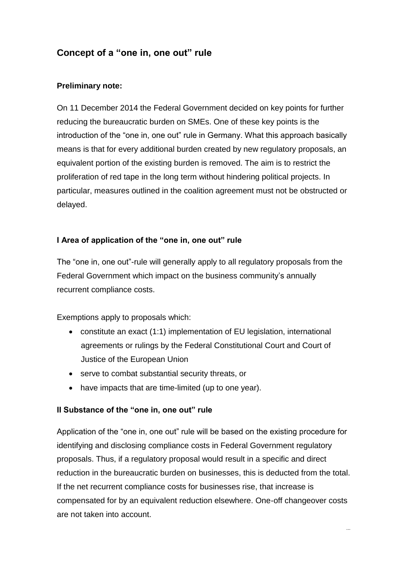# **Concept of a "one in, one out" rule**

## **Preliminary note:**

On 11 December 2014 the Federal Government decided on key points for further reducing the bureaucratic burden on SMEs. One of these key points is the introduction of the "one in, one out" rule in Germany. What this approach basically means is that for every additional burden created by new regulatory proposals, an equivalent portion of the existing burden is removed. The aim is to restrict the proliferation of red tape in the long term without hindering political projects. In particular, measures outlined in the coalition agreement must not be obstructed or delayed.

## **I Area of application of the "one in, one out" rule**

The "one in, one out"-rule will generally apply to all regulatory proposals from the Federal Government which impact on the business community's annually recurrent compliance costs.

Exemptions apply to proposals which:

- constitute an exact (1:1) implementation of EU legislation, international agreements or rulings by the Federal Constitutional Court and Court of Justice of the European Union
- serve to combat substantial security threats, or
- have impacts that are time-limited (up to one year).

## **II Substance of the "one in, one out" rule**

Application of the "one in, one out" rule will be based on the existing procedure for identifying and disclosing compliance costs in Federal Government regulatory proposals. Thus, if a regulatory proposal would result in a specific and direct reduction in the bureaucratic burden on businesses, this is deducted from the total. If the net recurrent compliance costs for businesses rise, that increase is compensated for by an equivalent reduction elsewhere. One-off changeover costs are not taken into account.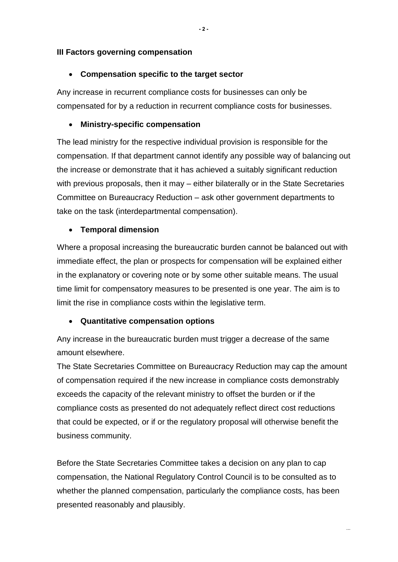#### **III Factors governing compensation**

#### **Compensation specific to the target sector**

Any increase in recurrent compliance costs for businesses can only be compensated for by a reduction in recurrent compliance costs for businesses.

#### **Ministry-specific compensation**

The lead ministry for the respective individual provision is responsible for the compensation. If that department cannot identify any possible way of balancing out the increase or demonstrate that it has achieved a suitably significant reduction with previous proposals, then it may – either bilaterally or in the State Secretaries Committee on Bureaucracy Reduction – ask other government departments to take on the task (interdepartmental compensation).

#### **Temporal dimension**

Where a proposal increasing the bureaucratic burden cannot be balanced out with immediate effect, the plan or prospects for compensation will be explained either in the explanatory or covering note or by some other suitable means. The usual time limit for compensatory measures to be presented is one year. The aim is to limit the rise in compliance costs within the legislative term.

#### **Quantitative compensation options**

Any increase in the bureaucratic burden must trigger a decrease of the same amount elsewhere.

The State Secretaries Committee on Bureaucracy Reduction may cap the amount of compensation required if the new increase in compliance costs demonstrably exceeds the capacity of the relevant ministry to offset the burden or if the compliance costs as presented do not adequately reflect direct cost reductions that could be expected, or if or the regulatory proposal will otherwise benefit the business community.

Before the State Secretaries Committee takes a decision on any plan to cap compensation, the National Regulatory Control Council is to be consulted as to whether the planned compensation, particularly the compliance costs, has been presented reasonably and plausibly.

...

**- 2-**